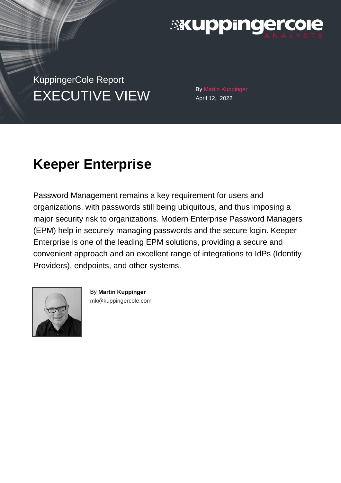

KuppingerCole Report EXECUTIVE VIEW By Martin Kuppinger

April 12, 2022

# **Keeper Enterprise**

Password Management remains a key requirement for users and organizations, with passwords still being ubiquitous, and thus imposing a major security risk to organizations. Modern Enterprise Password Managers (EPM) help in securely managing passwords and the secure login. Keeper Enterprise is one of the leading EPM solutions, providing a secure and convenient approach and an excellent range of integrations to IdPs (Identity Providers), endpoints, and other systems.



By **Martin Kuppinger** [mk@kuppingercole.com](mailto:mk@kuppingercole.com)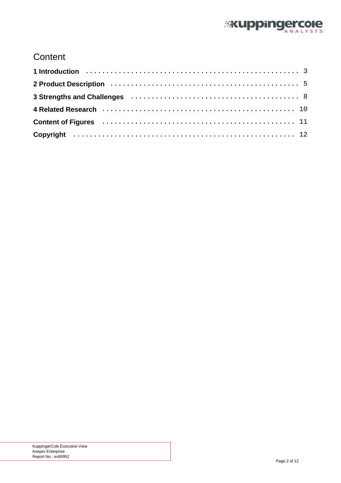

## **Content**

| 2 Product Description (and the contract of the contract of the contract of the contract of the contract of the |  |
|----------------------------------------------------------------------------------------------------------------|--|
|                                                                                                                |  |
|                                                                                                                |  |
| Content of Figures (Allerman Alexander Alexander Alexander Alexander Alexander Alexander Alexander Alexander A |  |
|                                                                                                                |  |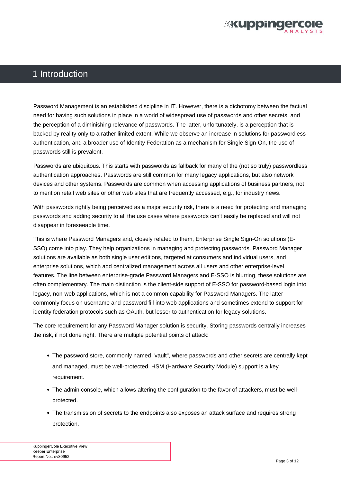

### <span id="page-2-0"></span>1 Introduction

Password Management is an established discipline in IT. However, there is a dichotomy between the factual need for having such solutions in place in a world of widespread use of passwords and other secrets, and the perception of a diminishing relevance of passwords. The latter, unfortunately, is a perception that is backed by reality only to a rather limited extent. While we observe an increase in solutions for passwordless authentication, and a broader use of Identity Federation as a mechanism for Single Sign-On, the use of passwords still is prevalent.

Passwords are ubiquitous. This starts with passwords as fallback for many of the (not so truly) passwordless authentication approaches. Passwords are still common for many legacy applications, but also network devices and other systems. Passwords are common when accessing applications of business partners, not to mention retail web sites or other web sites that are frequently accessed, e.g., for industry news.

With passwords rightly being perceived as a major security risk, there is a need for protecting and managing passwords and adding security to all the use cases where passwords can't easily be replaced and will not disappear in foreseeable time.

This is where Password Managers and, closely related to them, Enterprise Single Sign-On solutions (E-SSO) come into play. They help organizations in managing and protecting passwords. Password Manager solutions are available as both single user editions, targeted at consumers and individual users, and enterprise solutions, which add centralized management across all users and other enterprise-level features. The line between enterprise-grade Password Managers and E-SSO is blurring, these solutions are often complementary. The main distinction is the client-side support of E-SSO for password-based login into legacy, non-web applications, which is not a common capability for Password Managers. The latter commonly focus on username and password fill into web applications and sometimes extend to support for identity federation protocols such as OAuth, but lesser to authentication for legacy solutions.

The core requirement for any Password Manager solution is security. Storing passwords centrally increases the risk, if not done right. There are multiple potential points of attack:

- The password store, commonly named "vault", where passwords and other secrets are centrally kept and managed, must be well-protected. HSM (Hardware Security Module) support is a key requirement.
- The admin console, which allows altering the configuration to the favor of attackers, must be wellprotected.
- The transmission of secrets to the endpoints also exposes an attack surface and requires strong protection.

KuppingerCole Executive View Keeper Enterprise Report No.: ev80952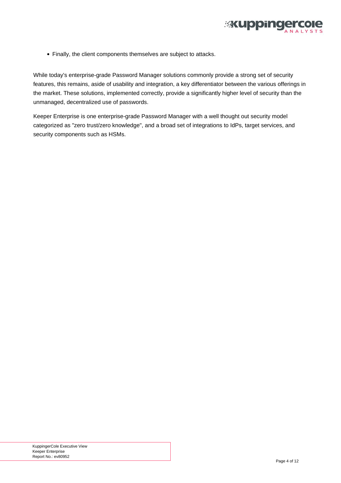

Finally, the client components themselves are subject to attacks.

While today's enterprise-grade Password Manager solutions commonly provide a strong set of security features, this remains, aside of usability and integration, a key differentiator between the various offerings in the market. These solutions, implemented correctly, provide a significantly higher level of security than the unmanaged, decentralized use of passwords.

Keeper Enterprise is one enterprise-grade Password Manager with a well thought out security model categorized as "zero trust/zero knowledge", and a broad set of integrations to IdPs, target services, and security components such as HSMs.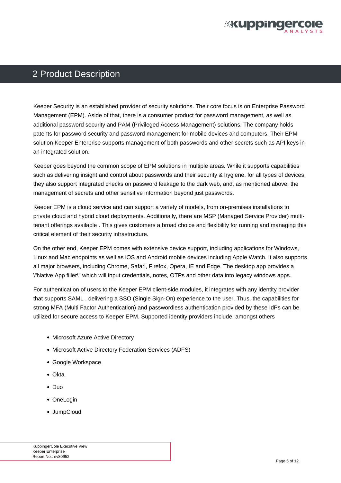

### <span id="page-4-0"></span>2 Product Description

Keeper Security is an established provider of security solutions. Their core focus is on Enterprise Password Management (EPM). Aside of that, there is a consumer product for password management, as well as additional password security and PAM (Privileged Access Management) solutions. The company holds patents for password security and password management for mobile devices and computers. Their EPM solution Keeper Enterprise supports management of both passwords and other secrets such as API keys in an integrated solution.

Keeper goes beyond the common scope of EPM solutions in multiple areas. While it supports capabilities such as delivering insight and control about passwords and their security & hygiene, for all types of devices, they also support integrated checks on password leakage to the dark web, and, as mentioned above, the management of secrets and other sensitive information beyond just passwords.

Keeper EPM is a cloud service and can support a variety of models, from on-premises installations to private cloud and hybrid cloud deployments. Additionally, there are MSP (Managed Service Provider) multitenant offerings available . This gives customers a broad choice and flexibility for running and managing this critical element of their security infrastructure.

On the other end, Keeper EPM comes with extensive device support, including applications for Windows, Linux and Mac endpoints as well as iOS and Android mobile devices including Apple Watch. It also supports all major browsers, including Chrome, Safari, Firefox, Opera, IE and Edge. The desktop app provides a \"Native App filler\" which will input credentials, notes, OTPs and other data into legacy windows apps.

For authentication of users to the Keeper EPM client-side modules, it integrates with any identity provider that supports SAML , delivering a SSO (Single Sign-On) experience to the user. Thus, the capabilities for strong MFA (Multi Factor Authentication) and passwordless authentication provided by these IdPs can be utilized for secure access to Keeper EPM. Supported identity providers include, amongst others

- Microsoft Azure Active Directory
- Microsoft Active Directory Federation Services (ADFS)
- Google Workspace
- Okta
- Duo
- OneLogin
- JumpCloud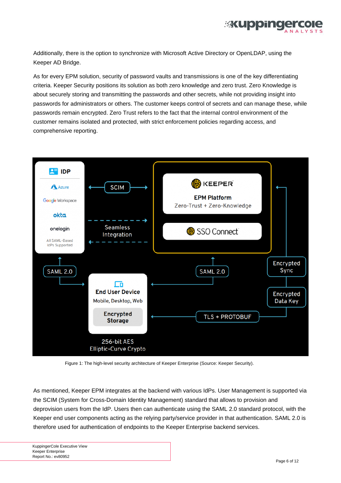

<span id="page-5-0"></span>Additionally, there is the option to synchronize with Microsoft Active Directory or OpenLDAP, using the Keeper AD Bridge.

As for every EPM solution, security of password vaults and transmissions is one of the key differentiating criteria. Keeper Security positions its solution as both zero knowledge and zero trust. Zero Knowledge is about securely storing and transmitting the passwords and other secrets, while not providing insight into passwords for administrators or others. The customer keeps control of secrets and can manage these, while passwords remain encrypted. Zero Trust refers to the fact that the internal control environment of the customer remains isolated and protected, with strict enforcement policies regarding access, and comprehensive reporting.



Figure 1: The high-level security architecture of Keeper Enterprise (Source: Keeper Security).

As mentioned, Keeper EPM integrates at the backend with various IdPs. User Management is supported via the SCIM (System for Cross-Domain Identity Management) standard that allows to provision and deprovision users from the IdP. Users then can authenticate using the SAML 2.0 standard protocol, with the Keeper end user components acting as the relying party/service provider in that authentication. SAML 2.0 is therefore used for authentication of endpoints to the Keeper Enterprise backend services.

KuppingerCole Executive View Keeper Enterprise Report No.: ev80952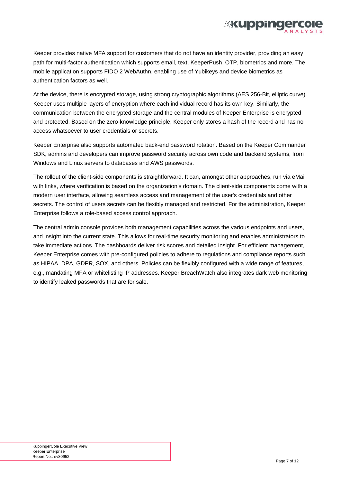Keeper provides native MFA support for customers that do not have an identity provider, providing an easy path for multi-factor authentication which supports email, text, KeeperPush, OTP, biometrics and more. The mobile application supports FIDO 2 WebAuthn, enabling use of Yubikeys and device biometrics as authentication factors as well.

**Mikuppine** 

At the device, there is encrypted storage, using strong cryptographic algorithms (AES 256-Bit, elliptic curve). Keeper uses multiple layers of encryption where each individual record has its own key. Similarly, the communication between the encrypted storage and the central modules of Keeper Enterprise is encrypted and protected. Based on the zero-knowledge principle, Keeper only stores a hash of the record and has no access whatsoever to user credentials or secrets.

Keeper Enterprise also supports automated back-end password rotation. Based on the Keeper Commander SDK, admins and developers can improve password security across own code and backend systems, from Windows and Linux servers to databases and AWS passwords.

The rollout of the client-side components is straightforward. It can, amongst other approaches, run via eMail with links, where verification is based on the organization's domain. The client-side components come with a modern user interface, allowing seamless access and management of the user's credentials and other secrets. The control of users secrets can be flexibly managed and restricted. For the administration, Keeper Enterprise follows a role-based access control approach.

The central admin console provides both management capabilities across the various endpoints and users, and insight into the current state. This allows for real-time security monitoring and enables administrators to take immediate actions. The dashboards deliver risk scores and detailed insight. For efficient management, Keeper Enterprise comes with pre-configured policies to adhere to regulations and compliance reports such as HIPAA, DPA, GDPR, SOX, and others. Policies can be flexibly configured with a wide range of features, e.g., mandating MFA or whitelisting IP addresses. Keeper BreachWatch also integrates dark web monitoring to identify leaked passwords that are for sale.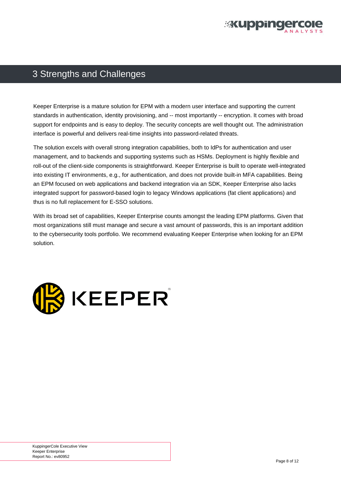

## <span id="page-7-0"></span>3 Strengths and Challenges

Keeper Enterprise is a mature solution for EPM with a modern user interface and supporting the current standards in authentication, identity provisioning, and -- most importantly -- encryption. It comes with broad support for endpoints and is easy to deploy. The security concepts are well thought out. The administration interface is powerful and delivers real-time insights into password-related threats.

The solution excels with overall strong integration capabilities, both to IdPs for authentication and user management, and to backends and supporting systems such as HSMs. Deployment is highly flexible and roll-out of the client-side components is straightforward. Keeper Enterprise is built to operate well-integrated into existing IT environments, e.g., for authentication, and does not provide built-in MFA capabilities. Being an EPM focused on web applications and backend integration via an SDK, Keeper Enterprise also lacks integrated support for password-based login to legacy Windows applications (fat client applications) and thus is no full replacement for E-SSO solutions.

With its broad set of capabilities, Keeper Enterprise counts amongst the leading EPM platforms. Given that most organizations still must manage and secure a vast amount of passwords, this is an important addition to the cybersecurity tools portfolio. We recommend evaluating Keeper Enterprise when looking for an EPM solution.

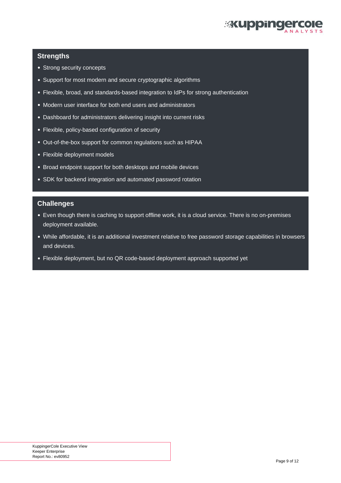

#### **Strengths**

- Strong security concepts
- Support for most modern and secure cryptographic algorithms
- Flexible, broad, and standards-based integration to IdPs for strong authentication
- Modern user interface for both end users and administrators
- Dashboard for administrators delivering insight into current risks
- Flexible, policy-based configuration of security
- Out-of-the-box support for common regulations such as HIPAA
- Flexible deployment models
- Broad endpoint support for both desktops and mobile devices
- SDK for backend integration and automated password rotation

#### **Challenges**

- Even though there is caching to support offline work, it is a cloud service. There is no on-premises deployment available.
- While affordable, it is an additional investment relative to free password storage capabilities in browsers and devices.
- Flexible deployment, but no QR code-based deployment approach supported yet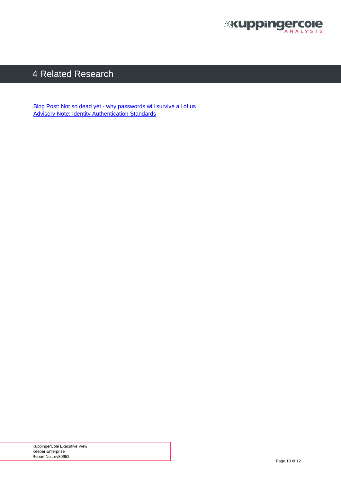

## <span id="page-9-0"></span>4 Related Research

[Blog Post: Not so dead yet - why passwords will survive all of us](https://www.kuppingercole.com/blog/kuppinger/not-so-dead-yet-why-passwords-will-survive-all-of-us) [Advisory Note: Identity Authentication Standards](https://www.kuppingercole.com/research/an71106/identity-authentication-standards)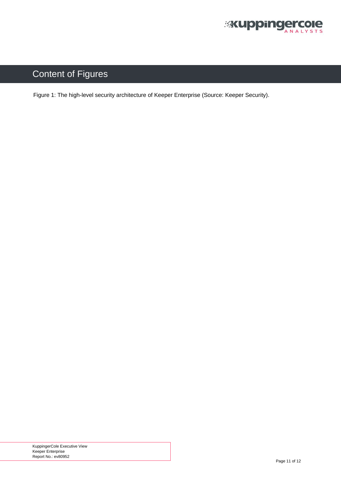

## <span id="page-10-0"></span>Content of Figures

[Figure 1: The high-level security architecture of Keeper Enterprise \(Source: Keeper Security\).](#page-5-0)